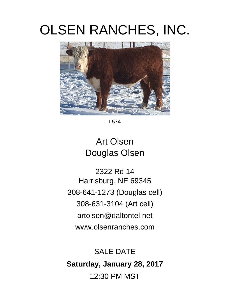# OLSEN RANCHES, INC.



L574

## Art Olsen Douglas Olsen

2322 Rd 14 Harrisburg, NE 69345 308-641-1273 (Douglas cell) 308-631-3104 (Art cell) artolsen@daltontel.net www.olsenranches.com

### SALE DATE **Saturday, January 28, 2017**  12:30 PM MST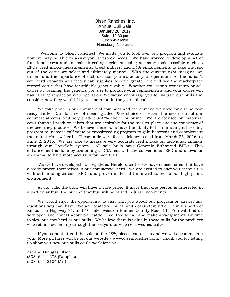Olsen Ranches, Inc. Annual Bull Sale January 28, 2017 Sale - 12:30 pm Lunch Available Harrisburg, Nebraska

Welcome to Olsen Ranches! We invite you to look over our program and evaluate how we may be able to assist your livestock needs. We have worked to develop a set of functional cows and to make breeding decisions using as many tools possible such as EPDs, feed intake measurements, breed indices, and DNA enhancements to take the risk out of the cattle we select and ultimately market. With the current tight margins, we understand the importance of each decision you make for your operation. As the nation's cow herd expands and feeder calf supplies become greater, we will see the marketplace reward cattle that have identifiable genetic value. Whether you retain ownership or sell calves at weaning, the genetics you use to produce your replacements and your calves will have a large impact on your operation. We would encourage you to evaluate our bulls and consider how they would fit your operation in the years ahead.

We take pride in our commercial cow herd and the demand we have for our harvest ready cattle. Our last set of steers graded 93% choice or better; the steers out of our commercial cows routinely grade 90-97% choice or prime. We are focused on maternal cows that will produce calves that are desirable for the market place and the consumer of the beef they produce. We believe these bulls have the ability to fit in a straight breeding program to increase calf value or crossbreeding program to gain heterosis and complement the industry's cow herd. These bulls were feed efficiency tested from March 25, 2016, to June 2, 2016. We are able to measure very accurate feed intake on individual animals through our GrowSafe system. All sale bulls have Genomic Enhanced EPDs. This enhancement is done by combining a DNA test with the conventional EPD and allows for an animal to have more accuracy for each trait.

 As we have developed our registered Hereford cattle, we have chosen sires that have already proven themselves in our commercial herd. We are excited to offer you these bulls with outstanding carcass EPDs and proven maternal traits well suited to our high plains environment.

At our sale, the bulls will have a base price. If more than one person is interested in a particular bull, the price of that bull will be raised in \$100 increments.

We would enjoy the opportunity to visit with you about our program or answer any questions you may have. We are located 25 miles south of Scottsbluff or 17 miles north of Kimball on Highway 71, and 10 miles west on Banner County Road 14. You will find us very open and honest about our cattle. Feel free to call and make arrangements anytime to view our cow herd or our bulls. We believe there is value in these bulls for the producer who retains ownership through the feedyard or who sells weaned calves.

If you cannot attend the sale on the  $28<sup>th</sup>$ , please contact us and we will accommodate you. More pictures will be on our website - www.olsenranches.com. Thank you for letting us show you how our bulls could work for you.

Art and Douglas Olsen (308) 641-1273 (Douglas) (308) 631-3104 (Art)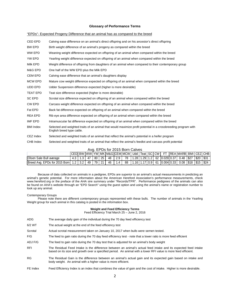#### **Glossary of Performance Terms**

| CED EPD          | Calving ease difference on an animal's direct offspring and on his ancestor's direct offspring                                               |
|------------------|----------------------------------------------------------------------------------------------------------------------------------------------|
| BW EPD           | Birth weight difference of an animal's progeny as compared within the breed                                                                  |
| WW EPD           | Weaning weight difference expected on offspring of an animal when compared within the breed                                                  |
| YW EPD           | Yearling weight difference expected on offspring of an animal when compared within the breed                                                 |
| Milk EPD         | Weight difference of offspring from daughters of an animal when compared to their contemporary group                                         |
| M&G EPD          | One half of the WW EPD plus the Milk EPD                                                                                                     |
| <b>CEM EPD</b>   | Calving ease difference that an animal's daughters display                                                                                   |
| <b>MCW EPD</b>   | Mature cow weight difference expected on offspring of an animal when compared within the breed                                               |
| UDD EPD          | Udder Suspension difference expected (higher is more desirable)                                                                              |
| <b>TEAT EPD</b>  | Teat size difference expected (higher is more desirable)                                                                                     |
| <b>SC EPD</b>    | Scrotal size difference expected on offspring of an animal when compared within the breed                                                    |
| CW EPD           | Carcass weight difference expected on offspring of an animal when compared within the breed                                                  |
| Fat EPD          | Back fat difference expected on offspring of an animal when compared within the breed                                                        |
| <b>REA EPD</b>   | Rib eye area difference expected on offspring of an animal when compared within the breed                                                    |
| IMF EPD          | Intramuscular fat difference expected on offspring of an animal when compared within the breed                                               |
| <b>BMI</b> Index | Selected and weighted traits of an animal that would maximize profit potential in a crossbreeding program with<br>English breed type cattle. |
| CEZ Index        | Selected and weighted traits of an animal that reflect the animal's potential in a heifer program                                            |
| CHB Index        | Selected and weighted traits of an animal that reflect the animal's feedlot and carcass profit potential                                     |
|                  |                                                                                                                                              |

#### "EPDs"- Expected Progeny Difference that an animal has as compared to the breed

|                                                          | Avg. EPDs for 2015 Born Calves                                                      |  |          |  |  |        |        |    |  |  |  |  |  |  |                                                       |  |  |
|----------------------------------------------------------|-------------------------------------------------------------------------------------|--|----------|--|--|--------|--------|----|--|--|--|--|--|--|-------------------------------------------------------|--|--|
|                                                          | LCEDLBW LWWLYWLMK LM&G LCEMLMCW L Udd L Teat LSC LCW L_FT_IREA IMARBLBMI LCEZLCHB L |  |          |  |  |        |        |    |  |  |  |  |  |  |                                                       |  |  |
| Olsen Sale Bull average                                  |                                                                                     |  | 47 80 25 |  |  | 48 2.9 |        | 78 |  |  |  |  |  |  | 1.28 1.29 1.2  62  0.029 0.37  0.48  \$27  \$20  \$31 |  |  |
| Breed Avg. EPDs for 2015 Born   1.2   3.2   49   79   21 |                                                                                     |  |          |  |  |        | 46 1.4 | 88 |  |  |  |  |  |  | 1.16 1.17 0.9  61  0.004 0.33  0.08  \$18  \$15  \$24 |  |  |

Because of data collected on animals in a pedigree, EPDs are superior to an animal's actual measurements in predicting an animal's genetic potential. For more information about the American Hereford Association's performance measurements, check www.hereford.org or the preface of the AHA sire summary under "Records/TPR". Performance pedigrees of the animals can also be found on AHA's website through an "EPD Search" using the guest option and using the animal's name or registration number to look up any animal.

#### Contemporary Groups

 Please note there are different contemporary groups represented with these bulls. The number of animals in the Yearling Weight group for each animal in this catalog is posted in the information box.

#### **Weight and Feed Efficiency Terms**

Feed Efficiency Trial March 25 – June 2, 2016

| ADG        | The average daily gain of the individual during the 70 day feed efficiency test                                                                                                                                                  |
|------------|----------------------------------------------------------------------------------------------------------------------------------------------------------------------------------------------------------------------------------|
| 6/2 WT     | The actual weight at the end of the feed efficiency test                                                                                                                                                                         |
| Scrotal    | Actual scrotal measurement taken on January 10, 2017 when bulls were semen tested.                                                                                                                                               |
| F/G        | The feed to gain ratio during the 70 day feed efficiency test - note that a lower ratio is more feed efficient                                                                                                                   |
| ADJ F/G    | The feed to gain ratio during the 70 day test that is adjusted for an animal's body weight                                                                                                                                       |
| <b>RFI</b> | The Residual Feed Intake is the difference between an animal's actual feed intake and its expected feed intake<br>based on its size and growth over a specified period. An animal with a lower RFI value is more feed efficient. |
| <b>RG</b>  | The Residual Gain is the difference between an animal's actual gain and its expected gain based on intake and<br>body weight. An animal with a higher value is more efficient.                                                   |
| FE Index   | Feed Efficiency Index is an index that combines the value of gain and the cost of intake. Higher is more desirable.                                                                                                              |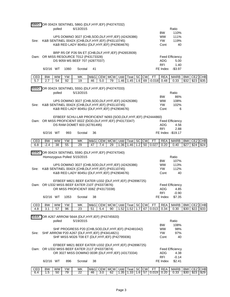|       |           |           |      | 586G OR 0042X SENTINEL 586G {DLF, HYF, IEF} (P43747032)                                        |     |            |            |      |      |           |           |           |                        |                        |            |         |      |
|-------|-----------|-----------|------|------------------------------------------------------------------------------------------------|-----|------------|------------|------|------|-----------|-----------|-----------|------------------------|------------------------|------------|---------|------|
|       |           | polled    |      | 6/13/2015                                                                                      |     |            |            |      |      |           |           |           |                        | Ratio                  |            |         |      |
|       |           |           |      | UPS DOMINO 3027 {CHB, SOD, DLF, HYF, IEF} (42426386)                                           |     |            |            |      |      |           |           |           | <b>BW</b><br><b>WW</b> | 110%<br>111%           |            |         |      |
| Sire: |           |           |      | K&B SENTINEL 0042X {CHB, DLF, HYF, IEF} (P43110745)                                            |     |            |            |      |      |           |           |           | <b>YW</b>              | 119%                   |            |         |      |
|       |           |           |      | K&B RED LADY 8045U {DLF, HYF, IEF} (P42904676)                                                 |     |            |            |      |      |           |           |           | Cont                   | 40                     |            |         |      |
|       |           |           |      |                                                                                                |     |            |            |      |      |           |           |           |                        |                        |            |         |      |
|       |           |           |      | BRP R5 OF P26 5N ET {CHB, DLF, HYF, IEF} (P42653939)<br>Dam: OR MISS RESOURCE T012 (P43173328) |     |            |            |      |      |           |           |           |                        | <b>Feed Efficiency</b> |            |         |      |
|       |           |           |      | DS 9059 MS BEEF 707 (42877037)                                                                 |     |            |            |      |      |           |           |           | <b>ADG</b>             | 5.00                   |            |         |      |
|       |           |           |      |                                                                                                |     |            |            |      |      |           |           |           | <b>RFI</b>             | 1.40                   |            |         |      |
|       | 6/2/16 WT |           | 1060 | Scrotal                                                                                        | 41  |            |            |      |      |           |           |           | FE Index               | $-$3.97$               |            |         |      |
| CED   | <b>BW</b> | <b>WW</b> | YW   | MK                                                                                             | M&G |            | CEM MCW    | Udd  | Teat | <b>SC</b> | <b>CW</b> | <b>FT</b> | <b>REA</b>             | <b>MARB</b>            | <b>BMI</b> | CEZ CHB |      |
| 5.7   | 2.7       | 54        | 92   | 19                                                                                             | 46  | 5.0        | 79         | 1.46 | 1.45 | 1.6       | 69        | $-0.018$  | 0.48                   | 0.33                   | \$32       | \$23    | \$35 |
|       |           |           |      |                                                                                                |     |            |            |      |      |           |           |           |                        |                        |            |         |      |
| 555G  |           | polled    |      | OR 0042X SENTINEL 555G {DLF, HYF, IEF} (P43747033)<br>5/13/2015                                |     |            |            |      |      |           |           |           |                        | Ratio                  |            |         |      |
|       |           |           |      |                                                                                                |     |            |            |      |      |           |           |           | <b>BW</b>              | 86%                    |            |         |      |
|       |           |           |      | UPS DOMINO 3027 {CHB, SOD, DLF, HYF, IEF} (42426386)                                           |     |            |            |      |      |           |           |           | <b>WW</b>              | 108%                   |            |         |      |
| Sire: |           |           |      | K&B SENTINEL 0042X {CHB, DLF, HYF, IEF} (P43110745)                                            |     |            |            |      |      |           |           |           | <b>YW</b>              | 102%                   |            |         |      |
|       |           |           |      | K&B RED LADY 8045U {DLF, HYF, IEF} (P42904676)                                                 |     |            |            |      |      |           |           |           | Cont                   | 6                      |            |         |      |
|       |           |           |      | EFBEEF SCHU-LAR PROFICIENT N093 {SOD, DLF, HYF, IEF} (P42444860)                               |     |            |            |      |      |           |           |           |                        |                        |            |         |      |
|       |           |           |      | Dam: OR MISS PROFICIENT 002Z {DOD, DLF, HYF, IEF} (P43173347)                                  |     |            |            |      |      |           |           |           |                        | <b>Feed Efficiency</b> |            |         |      |
|       |           |           |      | DS RAM DOMET 603 (42781495)                                                                    |     |            |            |      |      |           |           |           | <b>ADG</b>             | 4.56                   |            |         |      |
|       |           |           |      |                                                                                                |     |            |            |      |      |           |           |           | <b>RFI</b>             | 2.88                   |            |         |      |
|       | 6/2/16 WT |           | 993  | Scrotal                                                                                        | 36  |            |            |      |      |           |           |           |                        | FE Index -\$19.17      |            |         |      |
| CED   | <b>BW</b> | <b>WW</b> | YW   | MK                                                                                             | M&G | <b>CEM</b> | <b>MCW</b> | Udd  | Teat |           | SC CW     | <b>FT</b> | <b>REA</b>             | <b>MARB</b>            | <b>BMI</b> | CEZ CHB |      |
| 6.8   | $-2.4$    | 38        | 55   | 29                                                                                             | 47  | 7.4        | 29         | 1.36 | 1.46 | 1.2       |           | 50 0.027  | 0.20                   | 0.40                   | \$27       | \$24    | \$24 |
|       |           |           |      |                                                                                                |     |            |            |      |      |           |           |           |                        |                        |            |         |      |
| 559G  |           |           |      | OR 0042X SENTINEL 559G {DLF, HYF, IEF} (P43747040)<br>Homozygous Polled 5/15/2015              |     |            |            |      |      |           |           |           |                        | Ratio                  |            |         |      |
|       |           |           |      |                                                                                                |     |            |            |      |      |           |           |           | <b>BW</b>              | 107%                   |            |         |      |
|       |           |           |      | UPS DOMINO 3027 {CHB, SOD, DLF, HYF, IEF} (42426386)                                           |     |            |            |      |      |           |           |           | <b>WW</b>              | 113%                   |            |         |      |
| Sire: |           |           |      | K&B SENTINEL 0042X {CHB, DLF, HYF, IEF} (P43110745)                                            |     |            |            |      |      |           |           |           | <b>YW</b>              | 112%                   |            |         |      |
|       |           |           |      | K&B RED LADY 8045U {DLF, HYF, IEF} (P42904676)                                                 |     |            |            |      |      |           |           |           | Cont                   | 40                     |            |         |      |
|       |           |           |      | EFBEEF M821 BEEF EATER U332 {DLF, HYF, IEF} (P42896725)                                        |     |            |            |      |      |           |           |           |                        |                        |            |         |      |
|       |           |           |      | Dam: OR U332 MISS BEEF EATER 210T (P43373876)                                                  |     |            |            |      |      |           |           |           |                        | <b>Feed Efficiency</b> |            |         |      |
|       |           |           |      | OR MISS PROFICIENT 008Z (P43173338)                                                            |     |            |            |      |      |           |           |           | ADG                    | 4.85                   |            |         |      |
|       |           |           |      |                                                                                                |     |            |            |      |      |           |           |           | <b>RFI</b>             | $-0.90$                |            |         |      |
|       | 6/2/16 WT |           | 1053 | Scrotal                                                                                        | 38  |            |            |      |      |           |           |           | FE Index               | \$7.35                 |            |         |      |
| CED   | <b>BW</b> | <b>WW</b> | YW   | MΚ                                                                                             | M&G | <b>CEM</b> | <b>MCW</b> | Udd  | Teat |           | SC CW     | <b>FT</b> | <b>REA</b>             | <b>MARB</b>            | <b>BMI</b> | CEZ     | CHB  |
| 4.8   |           |           |      |                                                                                                |     |            | 90         |      | 1.52 | 1.7       | 67        | 0.013     | 0.34                   | 0.30                   | \$30       | \$22    | \$33 |
|       | 3.1       | 57        | 96   | 23                                                                                             | 51  | 5.4        |            | 1.52 |      |           |           |           |                        |                        |            |         |      |
|       |           |           |      |                                                                                                |     |            |            |      |      |           |           |           |                        |                        |            |         |      |
| 564A  |           | polled    |      | OR A267 ARROW 564A {DLF, HYF, IEF} (P43745920)<br>5/19/2015                                    |     |            |            |      |      |           |           |           |                        | Ratio                  |            |         |      |
|       |           |           |      |                                                                                                |     |            |            |      |      |           |           |           | <b>BW</b>              | 108%                   |            |         |      |
|       |           |           |      | SHF PROGRESS P20 {CHB, SOD, DLF, HYF, IEF} (P42481042)                                         |     |            |            |      |      |           |           |           | <b>WW</b>              | 98%                    |            |         |      |
| Sire: |           |           |      | SHF ARROW P20 A267 {DLF, HYF, IEF} (P43414821)                                                 |     |            |            |      |      |           |           |           | <b>YW</b>              | 97%                    |            |         |      |
|       |           |           |      | SHF MISS M326 T08 ET {DLF, HYF, IEF} (P42795936)                                               |     |            |            |      |      |           |           |           | Cont                   | 40                     |            |         |      |
|       |           |           |      | EFBEEF M821 BEEF EATER U332 {DLF, HYF, IEF} (P42896725)                                        |     |            |            |      |      |           |           |           |                        |                        |            |         |      |
|       |           |           |      | Dam: OR U332 MISS BEEF EATER 211T (P43373874)                                                  |     |            |            |      |      |           |           |           |                        | <b>Feed Efficiency</b> |            |         |      |
|       |           |           |      | OR 3027 MISS DOMINO 003R {DLF, HYF, IEF} (43173334)                                            |     |            |            |      |      |           |           |           | <b>ADG</b>             | 4.38                   |            |         |      |
|       |           |           |      |                                                                                                |     |            |            |      |      |           |           |           | <b>RFI</b>             | $-0.14$                |            |         |      |
|       | 6/2/16 WT |           | 896  | Scrotal                                                                                        | 38  |            |            |      |      |           |           |           | FE Index               | \$2.41                 |            |         |      |

6.4 | 1.5 | 50 | 79 | 22 | 46 | 3.0 | 62 | 1.35 | 1.33 | 1.6 | 57 | 0.019 | 0.20 | 0.33 | \$30 | \$23 | \$29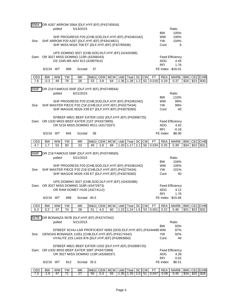| 556A       |                     | polled          |          | OR A267 ARROW 556A {DLF, HYF, IEF} (P43745916)<br>5/13/2015                                                                                                                    |    |                |                  |                    |                 |                  |                 |                       |                                       | Ratio                              |                    |                 |      |
|------------|---------------------|-----------------|----------|--------------------------------------------------------------------------------------------------------------------------------------------------------------------------------|----|----------------|------------------|--------------------|-----------------|------------------|-----------------|-----------------------|---------------------------------------|------------------------------------|--------------------|-----------------|------|
| Sire:      |                     |                 |          | SHF PROGRESS P20 {CHB, SOD, DLF, HYF, IEF} (P42481042)<br>SHF ARROW P20 A267 {DLF, HYF, IEF} (P43414821)<br>SHF MISS M326 T08 ET {DLF, HYF, IEF} (P42795936)                   |    |                |                  |                    |                 |                  |                 |                       | <b>BW</b><br><b>WW</b><br>YW.<br>Cont | 105%<br>100%<br>104%<br>6          |                    |                 |      |
|            |                     |                 |          | UPS DOMINO 3027 {CHB, SOD, DLF, HYF, IEF} (42426386)<br>Dam: OR 3027 MISS DOMINO 123R (43266043)<br>DS 1045 MS ADV 813 (42997914)                                              |    |                |                  |                    |                 |                  |                 |                       | ADG<br><b>RFI</b>                     | Feed Efficiency<br>4.45<br>1.76    |                    |                 |      |
|            | 6/2/16 WT           |                 | 999      | Scrotal                                                                                                                                                                        | 37 |                |                  |                    |                 |                  |                 |                       |                                       | FE Index -\$16.01                  |                    |                 |      |
| CED<br>7.6 | <b>BW</b><br>$-0.3$ | <b>WW</b><br>49 | YW<br>78 | MK<br>28                                                                                                                                                                       | 53 | M&G CEM<br>3.8 | <b>MCW</b><br>64 | Udd<br>1.36        | Teat<br>1.38    | <b>SC</b><br>1.2 | <b>CW</b>       | <b>FT</b><br>62 0.018 | <b>REA</b><br>0.29                    | <b>MARB</b><br>0.37                | <b>BMI</b><br>\$26 | CEZ CHB<br>\$23 | \$30 |
|            |                     |                 |          |                                                                                                                                                                                |    |                |                  |                    |                 |                  |                 |                       |                                       |                                    |                    |                 |      |
| 593F       |                     | polled          |          | OR Z18 FAMOUS 593F {DLF, HYF, IEF} (P43749564)<br>6/21/2015                                                                                                                    |    |                |                  |                    |                 |                  |                 |                       |                                       | Ratio                              |                    |                 |      |
|            |                     |                 |          |                                                                                                                                                                                |    |                |                  |                    |                 |                  |                 |                       | <b>BW</b>                             | 110%                               |                    |                 |      |
| Sire:      |                     |                 |          | SHF PROGRESS P20 {CHB, SOD, DLF, HYF, IEF} (P42481042)<br>SHF MASTER PIECE P20 Z18 {CHB, DLF, HYF, IEF} (P43275434)                                                            |    |                |                  |                    |                 |                  |                 |                       | <b>WW</b><br><b>YW</b>                | 99%<br>99%                         |                    |                 |      |
|            |                     |                 |          | SHF MAGGIE M326 X39 ET {DLF, HYF, IEF} (P43078260)                                                                                                                             |    |                |                  |                    |                 |                  |                 |                       | Cont                                  | 40                                 |                    |                 |      |
|            |                     |                 |          | EFBEEF M821 BEEF EATER U332 {DLF, HYF, IEF} (P42896725)                                                                                                                        |    |                |                  |                    |                 |                  |                 |                       |                                       |                                    |                    |                 |      |
|            |                     |                 |          | Dam: OR U332 MISS BEEF EATER 215T (P43373905)<br>OR 5216 MISS DOMINO R011 (43173337)                                                                                           |    |                |                  |                    |                 |                  |                 |                       | <b>ADG</b>                            | <b>Feed Efficiency</b><br>4.42     |                    |                 |      |
|            |                     |                 |          |                                                                                                                                                                                |    |                |                  |                    |                 |                  |                 |                       | <b>RFI</b>                            | $-0.18$                            |                    |                 |      |
|            | 6/2/16 WT           |                 | 845      | Scrotal                                                                                                                                                                        | 38 |                |                  |                    |                 |                  |                 |                       | FE Index                              | \$8.90                             |                    |                 |      |
| CED<br>4.7 | <b>BW</b><br>1.7    | WW<br>53        | YW<br>83 | МK<br>23                                                                                                                                                                       | 49 | M&G CEM<br>2.8 | <b>MCW</b><br>69 | <b>Udd</b><br>1.20 | Teat SC<br>1.17 | 2.1              | <b>CW</b><br>55 | FT<br>0.034           | <b>REA</b><br>0.25                    | <b>MARB</b><br>0.39                | <b>BMI</b><br>\$34 | CEZ CHB<br>\$22 | \$31 |
|            |                     |                 |          |                                                                                                                                                                                |    |                |                  |                    |                 |                  |                 |                       |                                       |                                    |                    |                 |      |
| 568F       |                     | polled          |          | OR Z18 FAMOUS 568F {DLF, HYF, IEF} (P43749565)<br>5/21/2015                                                                                                                    |    |                |                  |                    |                 |                  |                 |                       |                                       | Ratio                              |                    |                 |      |
|            |                     |                 |          |                                                                                                                                                                                |    |                |                  |                    |                 |                  |                 |                       | BW.                                   | 104%                               |                    |                 |      |
| Sire:      |                     |                 |          | SHF PROGRESS P20 {CHB, SOD, DLF, HYF, IEF} (P42481042)<br>SHF MASTER PIECE P20 Z18 {CHB, DLF, HYF, IEF} (P43275434)                                                            |    |                |                  |                    |                 |                  |                 |                       | <b>WW</b><br><b>YW</b>                | 105%<br>101%                       |                    |                 |      |
|            |                     |                 |          | SHF MAGGIE M326 X39 ET {DLF, HYF, IEF} (P43078260)                                                                                                                             |    |                |                  |                    |                 |                  |                 |                       | Cont                                  | 40                                 |                    |                 |      |
|            |                     |                 |          | UPS DOMINO 3027 {CHB, SOD, DLF, HYF, IEF} (42426386)                                                                                                                           |    |                |                  |                    |                 |                  |                 |                       |                                       |                                    |                    |                 |      |
|            |                     |                 |          | Dam: OR 3027 MISS DOMINO 318R (43472973)<br>OR RAM DOMET H105 (43274112)                                                                                                       |    |                |                  |                    |                 |                  |                 |                       |                                       | <b>Feed Efficiency</b><br>ADG 4.12 |                    |                 |      |
|            |                     |                 |          |                                                                                                                                                                                |    |                |                  |                    |                 |                  |                 |                       | RFI                                   | 1.76                               |                    |                 |      |
|            | 6/2/16 WT           |                 | 898      | Scrotal 40.5                                                                                                                                                                   |    |                |                  |                    |                 |                  |                 |                       |                                       | FE Index -\$15.66                  |                    |                 |      |
| CED        | <b>BW</b>           | <b>WW</b>       | YW       | MK                                                                                                                                                                             |    |                | M&G CEM MCW      |                    | Udd Teat SC     |                  | CW              | <b>FT</b>             | <b>REA</b>                            | <b>MARB</b>                        | <b>BMI</b>         | CEZ CHB         |      |
| 6.3        | 0.2                 | 47              | 74       | 28                                                                                                                                                                             | 51 | 4.0            | 60               |                    | $1.23$ 1.24     | 1.6              |                 | 53 0.001              | 0.22                                  | 0.46                               | \$31               | \$23            | \$32 |
| 567B       |                     |                 |          | OR BONANZA 567B {DLF, HYF, IEF} (P43747042)                                                                                                                                    |    |                |                  |                    |                 |                  |                 |                       |                                       |                                    |                    |                 |      |
|            |                     | polled          |          | 5/21/2015                                                                                                                                                                      |    |                |                  |                    |                 |                  |                 |                       | <b>BW</b>                             | Ratio<br>93%                       |                    |                 |      |
| Sire:      |                     |                 |          | EFBEEF SCHU-LAR PROFICIENT N093 {SOD, DLF, HYF, IEF} (P4244486 WW<br>GENOAS BONANZA 11051 {CHB, DLF, HYF, IEF} (P43174342)<br>HYALITE 22S LASS 876 {DLF, HYF, IEF} (P42893850) |    |                |                  |                    |                 |                  |                 |                       | YW.<br>Cont                           | 97%<br>92%<br>40                   |                    |                 |      |
|            |                     |                 |          | EFBEEF M821 BEEF EATER U332 {DLF, HYF, IEF} (P42896725)                                                                                                                        |    |                |                  |                    |                 |                  |                 |                       |                                       |                                    |                    |                 |      |
|            |                     |                 |          | Dam: OR U332 MISS BEEF EATER 308T (P43472989)                                                                                                                                  |    |                |                  |                    |                 |                  |                 |                       |                                       | <b>Feed Efficiency</b>             |                    |                 |      |
|            |                     |                 |          | OR 3027 MISS DOMINO 115R (43266037)                                                                                                                                            |    |                |                  |                    |                 |                  |                 |                       | ADG<br><b>RFI</b>                     | 4.28<br>0.02                       |                    |                 |      |
|            | 6/2/16 WT           |                 | 813      | Scrotal 35.5                                                                                                                                                                   |    |                |                  |                    |                 |                  |                 |                       | FE Index                              | \$6.51                             |                    |                 |      |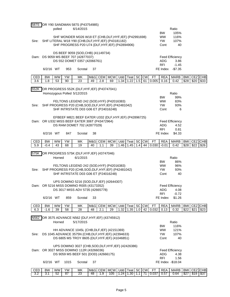| 587S             |           |           |      | OR Y90 SANDMAN 587S (P43754985)                                                                          |    |             |             |       |                      |      |           |           |            |                                |            |             |            |
|------------------|-----------|-----------|------|----------------------------------------------------------------------------------------------------------|----|-------------|-------------|-------|----------------------|------|-----------|-----------|------------|--------------------------------|------------|-------------|------------|
|                  |           | polled    |      | 6/14/2015                                                                                                |    |             |             |       |                      |      | Ratio     |           |            |                                |            |             |            |
|                  |           |           |      |                                                                                                          |    |             |             |       |                      |      |           |           | <b>BW</b>  | 105%                           |            |             |            |
|                  |           |           |      | SHF WONDER M326 W18 ET {CHB, DLF, HYF, IEF} (P42991698)                                                  |    |             |             |       |                      |      |           |           | <b>WW</b>  | 116%                           |            |             |            |
| Sire:            |           |           |      | SHF LITERAL W18 Y90 {CHB, DLF, HYF, IEF} (P43181182)                                                     |    |             |             |       |                      |      |           |           | <b>YW</b>  | 107%                           |            |             |            |
|                  |           |           |      | SHF PROGRESS P20 U74 {DLF, HYF, IEF} (P42894906)                                                         |    |             |             |       |                      |      |           |           | Cont       | 40                             |            |             |            |
|                  |           |           |      |                                                                                                          |    |             |             |       |                      |      |           |           |            |                                |            |             |            |
|                  |           |           |      | DS BEEF 9059 {SOD, CHB} (41149734)                                                                       |    |             |             |       |                      |      |           |           |            |                                |            |             |            |
|                  |           |           |      | Dam: DS 9059 MS BEEF 707 (42877037)                                                                      |    |             |             |       |                      |      |           |           |            | <b>Feed Efficiency</b>         |            |             |            |
|                  |           |           |      | DS 552 DOMET 0357 (42066761)                                                                             |    |             |             |       |                      |      |           |           | <b>ADG</b> | 3.86                           |            |             |            |
|                  |           |           |      |                                                                                                          |    |             |             |       |                      |      |           |           | <b>RFI</b> | $-1.45$                        |            |             |            |
|                  | 6/2/16 WT |           | 953  | Scrotal                                                                                                  | 37 |             |             |       |                      |      |           |           |            | FE Index -\$7.35               |            |             |            |
|                  |           |           |      |                                                                                                          |    |             |             |       |                      |      |           |           |            |                                |            |             |            |
| CED              | <b>BW</b> | WW        | YW   | MK                                                                                                       |    | M&G CEM     | <b>MCW</b>  | Udd I | Teat SC CW           |      |           | <b>FT</b> | <b>REA</b> | <b>MARB</b>                    | <b>BMI</b> | CEZ CHB     |            |
| 3.6              | 1.8       | 53        | 90   | 23                                                                                                       | 49 | 2.8         | 1.5         | 61    | 0.005                | 0.16 | 0.42      | \$28      | \$20       | \$33                           |            |             |            |
|                  |           |           |      |                                                                                                          |    |             |             |       |                      |      |           |           |            |                                |            |             |            |
| 552K             |           |           |      | OR PROGRESS 552K {DLF, HYF, IEF} (P43747041)                                                             |    |             |             |       |                      |      |           |           |            |                                |            |             |            |
|                  |           |           |      | Homozygous Polled 5/12/2015                                                                              |    |             |             |       |                      |      |           |           |            | Ratio                          |            |             |            |
|                  |           |           |      |                                                                                                          |    |             |             |       |                      |      |           |           | <b>BW</b>  | 99%                            |            |             |            |
|                  |           |           |      | FELTONS LEGEND 242 {SOD, HYF} (P42016383)                                                                |    |             |             |       |                      |      |           |           | <b>WW</b>  | 83%                            |            |             |            |
| Sire:            |           |           |      | SHF PROGRESS P20 {CHB, SOD, DLF, HYF, IEF} (P42481042)                                                   |    |             |             |       |                      |      |           |           | <b>YW</b>  | 93%                            |            |             |            |
|                  |           |           |      | SHF INTRSTATE D03 G06 ET (P24016248)                                                                     |    |             |             |       |                      |      |           |           | Cont       | 6                              |            |             |            |
|                  |           |           |      |                                                                                                          |    |             |             |       |                      |      |           |           |            |                                |            |             |            |
|                  |           |           |      | EFBEEF M821 BEEF EATER U332 {DLF, HYF, IEF} (P42896725)                                                  |    |             |             |       |                      |      |           |           |            |                                |            |             |            |
|                  |           |           |      | Dam: OR U332 MISS BEEF EATER 306T (P43472964)                                                            |    |             |             |       |                      |      |           |           |            | <b>Feed Efficiency</b>         |            |             |            |
|                  |           |           |      | DS RAM DOMET 702 (42877029)                                                                              |    |             |             |       |                      |      |           |           | <b>ADG</b> | 4.52                           |            |             |            |
|                  |           |           |      |                                                                                                          |    |             |             |       |                      |      |           |           | <b>RFI</b> | 0.81                           |            |             |            |
|                  | 6/2/16 WT |           | 847  | Scrotal                                                                                                  | 38 |             |             |       |                      |      |           |           | FE Index   | \$4.33                         |            |             |            |
|                  |           |           |      |                                                                                                          |    |             |             |       |                      |      |           |           |            |                                |            |             |            |
| CED              | <b>BW</b> | <b>WW</b> | YW   | MK                                                                                                       |    | M&G CEM MCW |             |       | Udd Teat             | SC   | <b>CW</b> | <b>FT</b> | <b>REA</b> | <b>MARB</b>                    | <b>BMI</b> | CEZ CHB     |            |
| 5.9              | $-0.4$    | 43        | 68   | 19                                                                                                       | 40 | 1.1         | 39          |       | 1.46 1.45            | 1.4  | 44        | 0.030     | $-0.01$    | 0.42                           | \$28       | \$22        | \$26       |
|                  |           |           |      |                                                                                                          |    |             |             |       |                      |      |           |           |            |                                |            |             |            |
|                  |           |           |      |                                                                                                          |    |             |             |       |                      |      |           |           |            |                                |            |             |            |
|                  |           |           |      | OR PROGRESS 575K {DLF, HYF, IEF} (43747046)                                                              |    |             |             |       |                      |      |           |           |            |                                |            |             |            |
|                  |           | Horned    |      | 6/1/2015                                                                                                 |    |             |             |       |                      |      |           |           |            | Ratio                          |            |             |            |
|                  |           |           |      |                                                                                                          |    |             |             |       |                      |      |           |           | <b>BW</b>  | 86%                            |            |             |            |
|                  |           |           |      | FELTONS LEGEND 242 {SOD, HYF} (P42016383)                                                                |    |             |             |       |                      |      |           |           | <b>WW</b>  | 96%                            |            |             |            |
| Sire:            |           |           |      | SHF PROGRESS P20 {CHB, SOD, DLF, HYF, IEF} (P42481042)                                                   |    |             |             |       |                      |      |           |           | YW.        | 93%                            |            |             |            |
|                  |           |           |      | SHF INTRSTATE D03 G06 ET (P24016248)                                                                     |    |             |             |       |                      |      |           |           | Cont       | 40                             |            |             |            |
|                  |           |           |      |                                                                                                          |    |             |             |       |                      |      |           |           |            |                                |            |             |            |
|                  |           |           |      | UPS DOMINO 5216 {SOD, DLF, IEF} (42644307)                                                               |    |             |             |       |                      |      |           |           |            |                                |            |             |            |
| 575K             |           |           |      | Dam: OR 5216 MISS DOMINO R005 (43173352)                                                                 |    |             |             |       |                      |      |           |           |            | <b>Feed Efficiency</b>         |            |             |            |
|                  |           |           |      | DS 3017 MISS ADV 5735 (42665778)                                                                         |    |             |             |       |                      |      |           |           | ADG        | 4.08                           |            |             |            |
|                  |           |           |      |                                                                                                          |    |             |             |       |                      |      |           |           | <b>RFI</b> | $-0.72$                        |            |             |            |
|                  | 6/2/16 WT |           | 859  | Scrotal                                                                                                  | 33 |             |             |       |                      |      |           |           | FE Index   | \$1.26                         |            |             |            |
|                  |           |           |      |                                                                                                          |    |             |             |       |                      |      |           |           |            |                                |            |             |            |
| CED              | <b>BW</b> | WW        | YW   | МK                                                                                                       |    | M&G CEM     | <b>MCW</b>  | Udd   | Teat                 | SC   | <b>CW</b> | <b>FT</b> | <b>REA</b> | <b>MARB</b>                    | <b>BMI</b> | <b>CEZ</b>  | <b>CHB</b> |
| 6.3              | $-1.6$    | 39        | 58   | 28                                                                                                       | 48 | 2.1         | 29          | 1.32  | 1.35                 | 1.0  | 42        | 0.032     | 0.13       | 0.32                           | \$22       | \$21        | \$23       |
|                  |           |           |      |                                                                                                          |    |             |             |       |                      |      |           |           |            |                                |            |             |            |
|                  |           |           |      | OR 3575 ADVANCE N562 {DLF, HYF, IEF} (43745912)                                                          |    |             |             |       |                      |      |           |           |            |                                |            |             |            |
|                  |           | Horned    |      | 5/17/2015                                                                                                |    |             |             |       |                      |      |           |           |            | Ratio                          |            |             |            |
|                  |           |           |      |                                                                                                          |    |             |             |       |                      |      |           |           | BW         | 116%                           |            |             |            |
|                  |           |           |      | HH ADVANCE 1045L {CHB, DLF, IEF} (42151369)                                                              |    |             |             |       |                      |      |           |           | <b>WW</b>  | 121%                           |            |             |            |
| Sire:            |           |           |      |                                                                                                          |    |             |             |       |                      |      |           |           |            |                                |            |             |            |
|                  |           |           |      | DS 1045 ADVANCE 3575N {CHB, DLF, HYF, IEF} (42394633)<br>DS 6805 MS TROY 8605 {DLF, HYF, IEF} (41046851) |    |             |             |       |                      |      |           |           | YW<br>Cont | 107%<br>40                     |            |             |            |
|                  |           |           |      |                                                                                                          |    |             |             |       |                      |      |           |           |            |                                |            |             |            |
|                  |           |           |      | UPS DOMINO 3027 {CHB, SOD, DLF, HYF, IEF} (42426386)                                                     |    |             |             |       |                      |      |           |           |            |                                |            |             |            |
| Dam:             |           |           |      |                                                                                                          |    |             |             |       |                      |      |           |           |            |                                |            |             |            |
| N <sub>562</sub> |           |           |      | OR 3027 MISS DOMINO 112R (43266036)<br>DS 9059 MS BEEF 501 {DOD} (42666175)                              |    |             |             |       |                      |      |           |           | <b>ADG</b> | <b>Feed Efficiency</b><br>4.38 |            |             |            |
|                  |           |           |      |                                                                                                          |    |             |             |       |                      |      |           |           | <b>RFI</b> | 1.56                           |            |             |            |
|                  | 6/2/16 WT |           | 1015 | Scrotal                                                                                                  | 37 |             |             |       |                      |      |           |           |            | FE Index -\$18.04              |            |             |            |
|                  |           |           |      |                                                                                                          |    |             |             |       |                      |      |           |           |            |                                |            |             |            |
| CED              | <b>BW</b> | <b>WW</b> | YW   | MK                                                                                                       |    |             | M&G CEM MCW |       | Udd   Teat   SC   CW |      |           | <b>FT</b> | <b>REA</b> | <b>MARB</b>                    |            | BMI CEZ CHB |            |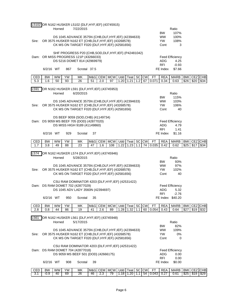|            |                     |                 |          | L5102 OR N162 HUSKER L5102 {DLF, HYF, IEF} (43745915)                           |           |                   |                  |                                                        |           |                 |             |                        |                                |             |             |                    |
|------------|---------------------|-----------------|----------|---------------------------------------------------------------------------------|-----------|-------------------|------------------|--------------------------------------------------------|-----------|-----------------|-------------|------------------------|--------------------------------|-------------|-------------|--------------------|
|            |                     | Horned          |          | 7/22/2015                                                                       |           |                   |                  |                                                        |           |                 |             |                        | Ratio                          |             |             |                    |
|            |                     |                 |          |                                                                                 |           |                   |                  |                                                        |           |                 |             | <b>BW</b>              | 107%                           |             |             |                    |
|            |                     |                 |          |                                                                                 |           |                   |                  | DS 1045 ADVANCE 3575N {CHB, DLF, HYF, IEF} (42394633)  |           |                 |             | <b>WW</b>              | 100%                           |             |             |                    |
| Sire:      |                     |                 |          | OR 3575 HUSKER N162 ET {CHB, DLF, HYF, IEF} (43268578)                          |           |                   |                  |                                                        |           |                 |             | YW.                    | 108%                           |             |             |                    |
|            |                     |                 |          | CK MS ON TARGET F020 {DLF, HYF, IEF} (42581656)                                 |           |                   |                  |                                                        |           |                 |             | Cont                   | 3                              |             |             |                    |
|            |                     |                 |          |                                                                                 |           |                   |                  | SHF PROGRESS P20 {CHB, SOD, DLF, HYF, IEF} (P42481042) |           |                 |             |                        |                                |             |             |                    |
|            |                     |                 |          | Dam: OR MISS PROGRESS 121P (43266033)                                           |           |                   |                  |                                                        |           |                 |             |                        | <b>Feed Efficiency</b>         |             |             |                    |
|            |                     |                 |          | DS 5216 DOMET 814 (42969979)                                                    |           |                   |                  |                                                        |           |                 |             | ADG.                   | 4.25                           |             |             |                    |
|            |                     |                 |          |                                                                                 |           |                   |                  |                                                        |           |                 |             | <b>RFI</b>             | $-0.93$                        |             |             |                    |
|            | 6/2/16 WT           |                 | 867      | Scrotal 37.5                                                                    |           |                   |                  |                                                        |           |                 |             | FE Index               | \$7.66                         |             |             |                    |
| CED        | <b>BW</b>           | <b>WW</b>       | YW       | MK                                                                              |           |                   | M&G CEM MCW      | Udd   Teat   SC   CW                                   |           |                 | <b>FT</b>   | <b>REA</b>             | <b>MARB</b>                    | <b>BMI</b>  | <b>CEZ</b>  | CHB                |
| 5.3        | 1.6                 | 50              | 93       | 26                                                                              | 51        | 2.0               | 97               | 1.20<br>1.21                                           | 1.2       | 67              | 0.071       | 0.34                   | 0.63                           | \$26        | \$20        | \$34               |
|            |                     |                 |          |                                                                                 |           |                   |                  |                                                        |           |                 |             |                        |                                |             |             |                    |
| L591       |                     | Horned          |          | OR N162 HUSKER L591 {DLF, HYF, IEF} (43745953)<br>6/20/2015                     |           |                   |                  |                                                        |           |                 |             |                        | Ratio                          |             |             |                    |
|            |                     |                 |          |                                                                                 |           |                   |                  |                                                        |           |                 |             | <b>BW</b>              | 115%                           |             |             |                    |
|            |                     |                 |          |                                                                                 |           |                   |                  | DS 1045 ADVANCE 3575N {CHB, DLF, HYF, IEF} (42394633)  |           |                 |             | <b>WW</b>              | 103%                           |             |             |                    |
| Sire:      |                     |                 |          | OR 3575 HUSKER N162 ET {CHB, DLF, HYF, IEF} (43268578)                          |           |                   |                  |                                                        |           |                 |             | YW.                    | 106%                           |             |             |                    |
|            |                     |                 |          | CK MS ON TARGET F020 {DLF, HYF, IEF} (42581656)                                 |           |                   |                  |                                                        |           |                 |             | Cont                   | 40                             |             |             |                    |
|            |                     |                 |          |                                                                                 |           |                   |                  |                                                        |           |                 |             |                        |                                |             |             |                    |
|            |                     |                 |          | DS BEEF 9059 {SOD, CHB} (41149734)<br>Dam: DS 9059 MS BEEF 705 {DOD} (42877020) |           |                   |                  |                                                        |           |                 |             |                        |                                |             |             |                    |
|            |                     |                 |          | DS MISS HIGH 9189 (41149860)                                                    |           |                   |                  |                                                        |           |                 |             | <b>ADG</b>             | <b>Feed Efficiency</b><br>4.79 |             |             |                    |
|            |                     |                 |          |                                                                                 |           |                   |                  |                                                        |           |                 |             | <b>RFI</b>             | 1.41                           |             |             |                    |
|            | 6/2/16 WT           |                 | 929      | Scrotal                                                                         | 37        |                   |                  |                                                        |           |                 |             | FE Index               | \$1.16                         |             |             |                    |
|            |                     |                 |          |                                                                                 |           |                   |                  |                                                        |           |                 |             |                        |                                |             |             |                    |
|            |                     |                 |          |                                                                                 |           |                   |                  |                                                        |           |                 |             |                        |                                |             |             |                    |
| CED        | <b>BW</b>           | <b>WW</b>       | YW       | МK                                                                              |           |                   | M&G CEM MCW      | Udd   Teat   SC   CW                                   |           |                 | <b>FT</b>   | <b>REA</b>             | MARB                           | <b>BMI</b>  | CEZ CHB     |                    |
| 1.7        | 3.8                 | 49              | 88       | 23                                                                              | 47        | 1.6               | 108              | 1.23<br>1.22                                           | 1.1       | 74              | 0.035       | 0.42                   | 0.62                           | \$25        | \$17        | \$34               |
|            |                     |                 |          | OR N162 HUSKER L574 {DLF, HYF, IEF} (43745946)                                  |           |                   |                  |                                                        |           |                 |             |                        |                                |             |             |                    |
|            |                     | Horned          |          | 5/28/2015                                                                       |           |                   |                  |                                                        |           |                 |             |                        | Ratio                          |             |             |                    |
|            |                     |                 |          |                                                                                 |           |                   |                  |                                                        |           |                 |             | <b>BW</b>              | 93%                            |             |             |                    |
|            |                     |                 |          |                                                                                 |           |                   |                  | DS 1045 ADVANCE 3575N {CHB, DLF, HYF, IEF} (42394633)  |           |                 |             | <b>WW</b>              | 97%                            |             |             |                    |
| Sire:      |                     |                 |          | OR 3575 HUSKER N162 ET {CHB, DLF, HYF, IEF} (43268578)                          |           |                   |                  |                                                        |           |                 |             | <b>YW</b>              | 102%                           |             |             |                    |
|            |                     |                 |          | CK MS ON TARGET F020 {DLF, HYF, IEF} (42581656)                                 |           |                   |                  |                                                        |           |                 |             | Cont                   | 40                             |             |             |                    |
| L574       |                     |                 |          |                                                                                 |           |                   |                  | CSU RAM DOMINATOR 4203 {DLF, HYF, IEF} (42531422)      |           |                 |             |                        |                                |             |             |                    |
|            |                     |                 |          | Dam: DS RAM DOMET 702 (42877029)                                                |           |                   |                  |                                                        |           |                 |             |                        | <b>Feed Efficiency</b>         |             |             |                    |
|            |                     |                 |          | DS 1045 ADV LADY 3560N (42394697)                                               |           |                   |                  |                                                        |           |                 |             | ADG                    | 5.32                           |             |             |                    |
|            |                     |                 |          |                                                                                 |           |                   |                  |                                                        |           |                 |             | <b>RFI</b>             | $-2.76$                        |             |             |                    |
|            | 6/2/16 WT           |                 | 950      | Scrotal                                                                         | 35        |                   |                  |                                                        |           |                 |             |                        | FE Index \$40.20               |             |             |                    |
| CED        | <b>BW</b>           | <b>WW</b>       | YW       | MΚ                                                                              | M&G       | <b>CEM</b>        | <b>MCW</b>       | Udd   Teat   SC                                        |           | <b>CW</b>       | <b>FT</b>   | <b>REA</b>             | <b>MARB</b>                    | BMI         | CEZ         | <b>CHB</b>         |
| 2.8        | 0.8                 | 44              | 86       | 19                                                                              | 41        | 2.6               | 89               | 1.32<br>1.28                                           | 1.1       | 60              | 0.054       | 0.43                   | 0.64                           | \$27        | \$19        | \$32               |
|            |                     |                 |          |                                                                                 |           |                   |                  |                                                        |           |                 |             |                        |                                |             |             |                    |
|            |                     |                 |          | OR N162 HUSKER L561 {DLF, HYF, IEF} (43745948)                                  |           |                   |                  |                                                        |           |                 |             |                        |                                |             |             |                    |
| L561       |                     | Horned          |          | 5/17/2015                                                                       |           |                   |                  |                                                        |           |                 |             |                        | Ratio                          |             |             |                    |
|            |                     |                 |          |                                                                                 |           |                   |                  |                                                        |           |                 |             | <b>BW</b><br><b>WW</b> | 82%<br>109%                    |             |             |                    |
| Sire:      |                     |                 |          | OR 3575 HUSKER N162 ET {CHB, DLF, HYF, IEF} (43268578)                          |           |                   |                  | DS 1045 ADVANCE 3575N {CHB, DLF, HYF, IEF} (42394633)  |           |                 |             | <b>YW</b>              | 0%                             |             |             |                    |
|            |                     |                 |          | CK MS ON TARGET F020 {DLF, HYF, IEF} (42581656)                                 |           |                   |                  |                                                        |           |                 |             | Cont                   | 0                              |             |             |                    |
|            |                     |                 |          |                                                                                 |           |                   |                  |                                                        |           |                 |             |                        |                                |             |             |                    |
|            |                     |                 |          |                                                                                 |           |                   |                  | CSU RAM DOMINATOR 4203 {DLF, HYF, IEF} (42531422)      |           |                 |             |                        |                                |             |             |                    |
|            |                     |                 |          | Dam: DS RAM DOMET 704 (42877018)                                                |           |                   |                  |                                                        |           |                 |             |                        | <b>Feed Efficiency</b>         |             |             |                    |
|            |                     |                 |          | DS 9059 MS BEEF 501 {DOD} (42666175)                                            |           |                   |                  |                                                        |           |                 |             | <b>ADG</b>             | 0.00                           |             |             |                    |
|            | 6/2/16 WT           |                 | 908      | Scrotal                                                                         | 39        |                   |                  |                                                        |           |                 |             | <b>RFI</b><br>FE Index | 0.00<br>\$0.00                 |             |             |                    |
|            |                     |                 |          |                                                                                 |           |                   |                  |                                                        |           |                 |             |                        |                                |             |             |                    |
| CED<br>3.1 | <b>BW</b><br>$-0.9$ | <b>WW</b><br>40 | YW<br>69 | МK<br>26                                                                        | M&G<br>46 | <b>CEM</b><br>2.3 | <b>MCW</b><br>79 | Udd<br>Teat<br>1.18<br>1.20                            | SC<br>1.1 | <b>CW</b><br>54 | FT<br>0.043 | <b>REA</b><br>0.27     | MARB<br>0.61                   | BMI<br>\$25 | CEZ<br>\$19 | <b>CHB</b><br>\$29 |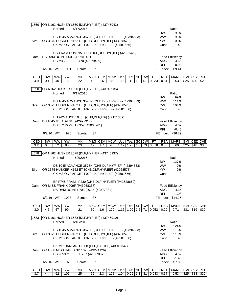| L560             |                  | Horned          |          | OR N162 HUSKER L560 {DLF, HYF, IEF} (43745943)<br>5/17/2015                                                     |           |     |                            |               |                                                  |     |                 |                    |                          | Ratio                              |                    |                 |                       |
|------------------|------------------|-----------------|----------|-----------------------------------------------------------------------------------------------------------------|-----------|-----|----------------------------|---------------|--------------------------------------------------|-----|-----------------|--------------------|--------------------------|------------------------------------|--------------------|-----------------|-----------------------|
|                  |                  |                 |          | DS 1045 ADVANCE 3575N {CHB, DLF, HYF, IEF} (42394633)                                                           |           |     |                            |               |                                                  |     |                 |                    | <b>BW</b><br><b>WW</b>   | 91%<br>99%                         |                    |                 |                       |
| Sire:            |                  |                 |          | OR 3575 HUSKER N162 ET {CHB, DLF, HYF, IEF} (43268578)<br>CK MS ON TARGET F020 {DLF, HYF, IEF} (42581656)       |           |     |                            |               |                                                  |     |                 |                    | <b>YW</b><br>Cont        | 100%<br>40                         |                    |                 |                       |
|                  |                  |                 |          | CSU RAM DOMINATOR 4203 {DLF, HYF, IEF} (42531422)                                                               |           |     |                            |               |                                                  |     |                 |                    |                          |                                    |                    |                 |                       |
|                  |                  |                 |          | Dam: DS RAM DOMET 605 (42781501)                                                                                |           |     |                            |               |                                                  |     |                 |                    |                          | <b>Feed Efficiency</b>             |                    |                 |                       |
|                  |                  |                 |          | DS MISS BEEF 0470 (42079429)                                                                                    |           |     |                            |               |                                                  |     |                 |                    | <b>ADG</b><br><b>RFI</b> | 4.66<br>$-0.90$                    |                    |                 |                       |
|                  | 6/2/16 WT        |                 | 961      | Scrotal                                                                                                         | 37        |     |                            |               |                                                  |     |                 |                    | FE Index                 | \$9.41                             |                    |                 |                       |
| CED<br>4.0       | <b>BW</b><br>0.1 | <b>WW</b><br>40 | YW<br>75 | MK<br>22                                                                                                        | 42        | 2.6 | M&G CEM MCW<br>85          | Udd  <br>1.15 | Teat SC<br>1.18                                  | 1.0 | <b>CW</b><br>57 | <b>FT</b><br>0.033 | <b>REA</b><br>0.31       | <b>MARB</b><br>0.53                | <b>BMI</b><br>\$25 | \$20            | CEZ CHB<br>\$29       |
|                  |                  |                 |          |                                                                                                                 |           |     |                            |               |                                                  |     |                 |                    |                          |                                    |                    |                 |                       |
| L590             |                  | Horned          |          | OR N162 HUSKER L590 {DLF, HYF, IEF} (43745935)<br>6/17/2015                                                     |           |     |                            |               |                                                  |     |                 |                    |                          | Ratio                              |                    |                 |                       |
|                  |                  |                 |          | DS 1045 ADVANCE 3575N {CHB, DLF, HYF, IEF} (42394633)                                                           |           |     |                            |               |                                                  |     |                 |                    | <b>BW</b><br><b>WW</b>   | 99%<br>111%                        |                    |                 |                       |
| Sire:            |                  |                 |          | OR 3575 HUSKER N162 ET {CHB, DLF, HYF, IEF} (43268578)                                                          |           |     |                            |               |                                                  |     |                 |                    | <b>YW</b>                | 104%                               |                    |                 |                       |
|                  |                  |                 |          | CK MS ON TARGET F020 {DLF, HYF, IEF} (42581656)                                                                 |           |     |                            |               |                                                  |     |                 |                    | Cont                     | 40                                 |                    |                 |                       |
|                  |                  |                 |          | HH ADVANCE 1045L {CHB, DLF, IEF} (42151369)<br>Dam: DS 1045 MS ADV 813 (42997914)                               |           |     |                            |               |                                                  |     |                 |                    |                          | <b>Feed Efficiency</b>             |                    |                 |                       |
|                  |                  |                 |          | DS 552 DOMET 0357 (42066761)                                                                                    |           |     |                            |               |                                                  |     |                 |                    | ADG.                     | 4.07                               |                    |                 |                       |
|                  | 6/2/16 WT        |                 | 926      | Scrotal                                                                                                         | 37        |     |                            |               |                                                  |     |                 |                    | <b>RFI</b><br>FE Index   | $-0.45$<br>$-$6.79$                |                    |                 |                       |
|                  |                  |                 |          |                                                                                                                 |           |     |                            |               |                                                  |     |                 |                    |                          |                                    |                    |                 |                       |
|                  |                  |                 |          |                                                                                                                 |           |     |                            |               |                                                  |     |                 |                    | <b>REA</b>               |                                    | BMI <sup>1</sup>   |                 |                       |
| CED<br>3.2       | <b>BW</b><br>0.8 | <b>WW</b><br>52 | YW<br>85 | MK<br>$\overline{23}$                                                                                           | M&G<br>49 | 1.7 | CEM MCW<br>96              | 1.19          | Udd Teat SC CW<br>1.23                           | 1.0 | 73              | <b>FT</b><br>0.078 | 0.50                     | <b>MARB</b><br>0.60                | \$25               | CEZ CHB<br>\$18 | \$33                  |
|                  |                  |                 |          |                                                                                                                 |           |     |                            |               |                                                  |     |                 |                    |                          |                                    |                    |                 |                       |
| L <sub>578</sub> |                  | Horned          |          | OR N162 HUSKER L578 {DLF, HYF, IEF} (43745937)<br>6/3/2015                                                      |           |     |                            |               |                                                  |     |                 |                    |                          | Ratio                              |                    |                 |                       |
|                  |                  |                 |          |                                                                                                                 |           |     |                            |               |                                                  |     |                 |                    | <b>BW</b>                | 127%                               |                    |                 |                       |
| Sire:            |                  |                 |          | DS 1045 ADVANCE 3575N {CHB, DLF, HYF, IEF} (42394633)<br>OR 3575 HUSKER N162 ET {CHB, DLF, HYF, IEF} (43268578) |           |     |                            |               |                                                  |     |                 |                    | <b>WW</b><br>YW.         | 0%<br>0%                           |                    |                 |                       |
|                  |                  |                 |          | CK MS ON TARGET F020 {DLF, HYF, IEF} (42581656)                                                                 |           |     |                            |               |                                                  |     |                 |                    | Cont                     | 0                                  |                    |                 |                       |
|                  |                  |                 |          | EF F745 FRANK P230 {CHB, DLF, HYF, IEF} (P42528669)                                                             |           |     |                            |               |                                                  |     |                 |                    |                          |                                    |                    |                 |                       |
|                  |                  |                 |          | Dam: OR MISS FRANK 909F (P43068237)<br>DS RAM DOMET 703 {DOD} (42877031)                                        |           |     |                            |               |                                                  |     |                 |                    |                          | <b>Feed Efficiency</b><br>ADG 4.35 |                    |                 |                       |
|                  |                  |                 |          |                                                                                                                 | 37        |     |                            |               |                                                  |     |                 |                    | <b>RFI</b>               | 1.08                               |                    |                 |                       |
|                  | 6/2/16 WT        |                 | 1003     | Scrotal                                                                                                         |           |     |                            |               |                                                  |     |                 |                    |                          | FE Index -\$14.25                  |                    |                 |                       |
| CED<br>3.0       | <b>BW</b><br>4.6 | <b>WW</b><br>57 | YW<br>99 | MΚ<br>21                                                                                                        | 50        | 1.6 | M&G CEM MCW<br>120         |               | Udd   Teat   SC   CW<br>$1.16$   1.20   1.6   71 |     |                 | <b>FT</b><br>0.052 | <b>REA</b><br>0.22       | <b>MARB</b><br>0.71                | <b>BMI</b><br>\$31 |                 | CEZ CHB<br>$$19$ \$39 |
|                  |                  |                 |          |                                                                                                                 |           |     |                            |               |                                                  |     |                 |                    |                          |                                    |                    |                 |                       |
| L583             |                  | Horned          |          | OR N162 HUSKER L583 {DLF, HYF, IEF} (43745910)<br>6/10/2015                                                     |           |     |                            |               |                                                  |     |                 |                    |                          | Ratio                              |                    |                 |                       |
|                  |                  |                 |          |                                                                                                                 |           |     |                            |               |                                                  |     |                 |                    | BW.<br><b>WW</b>         | 124%                               |                    |                 |                       |
| Sire:            |                  |                 |          | DS 1045 ADVANCE 3575N {CHB, DLF, HYF, IEF} (42394633)<br>OR 3575 HUSKER N162 ET {CHB, DLF, HYF, IEF} (43268578) |           |     |                            |               |                                                  |     |                 |                    | YW.                      | 113%<br>110%                       |                    |                 |                       |
|                  |                  |                 |          | CK MS ON TARGET F020 {DLF, HYF, IEF} (42581656)                                                                 |           |     |                            |               |                                                  |     |                 |                    | Cont                     | 40                                 |                    |                 |                       |
|                  |                  |                 |          | CK MR HARLAND L008 {DLF, HYF, IEF} (43016347)                                                                   |           |     |                            |               |                                                  |     |                 |                    |                          |                                    |                    |                 |                       |
|                  |                  |                 |          | Dam: OR L008 MISS HARLAND 102Z (43274126)<br>DS 9059 MS BEEF 707 (42877037)                                     |           |     |                            |               |                                                  |     |                 |                    | ADG                      | <b>Feed Efficiency</b><br>4.52     |                    |                 |                       |
|                  | 6/2/16 WT        |                 | 978      | Scrotal                                                                                                         | 37        |     |                            |               |                                                  |     |                 |                    | <b>RFI</b><br>FE Index   | $-1.43$<br>\$7.86                  |                    |                 |                       |
| CED              | <b>BW</b>        | <b>WW</b>       | YW       | МK                                                                                                              |           |     | M&G CEM MCW Udd Teat SC CW |               |                                                  |     |                 | FТ                 | <b>REA</b>               | <b>MARB</b>                        |                    | BMI CEZ CHB     |                       |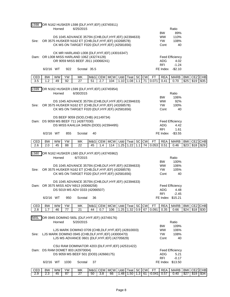| L598       |                  | Horned          |          | OR N162 HUSKER L598 {DLF, HYF, IEF} (43745911)<br>6/25/2015                                                                                                        |           |            |                            |      |                            |     |                              |                    |                                       | Ratio                                                                |                    |                    |                 |
|------------|------------------|-----------------|----------|--------------------------------------------------------------------------------------------------------------------------------------------------------------------|-----------|------------|----------------------------|------|----------------------------|-----|------------------------------|--------------------|---------------------------------------|----------------------------------------------------------------------|--------------------|--------------------|-----------------|
| Sire:      |                  |                 |          | DS 1045 ADVANCE 3575N {CHB, DLF, HYF, IEF} (42394633)<br>OR 3575 HUSKER N162 ET {CHB, DLF, HYF, IEF} (43268578)<br>CK MS ON TARGET F020 {DLF, HYF, IEF} (42581656) |           |            |                            |      |                            |     |                              |                    | <b>BW</b><br><b>WW</b><br>YW.<br>Cont | 89%<br>110%<br>108%<br>40                                            |                    |                    |                 |
|            |                  |                 |          | CK MR HARLAND L008 {DLF, HYF, IEF} (43016347)<br>Dam: OR L008 MISS HARLAND 106Z (43274128)<br>OR 9059 MISS BEEF J911 (43068241)                                    |           |            |                            |      |                            |     |                              |                    | ADG.                                  | <b>Feed Efficiency</b><br>4.02                                       |                    |                    |                 |
|            | 6/2/16 WT        |                 | 922      | Scrotal 35.5                                                                                                                                                       |           |            |                            |      |                            |     |                              |                    | <b>RFI</b><br>FE Index                | $-1.24$<br>$-$2.10$                                                  |                    |                    |                 |
| CED<br>3.5 | <b>BW</b><br>1.2 | <b>WW</b><br>49 | YW<br>92 | MK<br>27                                                                                                                                                           | M&G<br>51 | 2.7        | CEM MCW<br>104             |      | Udd Teat SC<br>$1.10$ 1.08 | 1.1 | <b>CW</b><br>71              | <b>FT</b><br>0.071 | <b>REA</b><br>0.41                    | <b>MARB</b><br>0.70                                                  | <b>BMI</b><br>\$25 | <b>CEZ</b><br>\$19 | CHB<br>\$35     |
|            |                  |                 |          |                                                                                                                                                                    |           |            |                            |      |                            |     |                              |                    |                                       |                                                                      |                    |                    |                 |
| L599       |                  | Horned          |          | OR N162 HUSKER L599 {DLF, HYF, IEF} (43745954)<br>6/30/2015                                                                                                        |           |            |                            |      |                            |     |                              |                    |                                       | Ratio                                                                |                    |                    |                 |
|            |                  |                 |          | DS 1045 ADVANCE 3575N {CHB, DLF, HYF, IEF} (42394633)                                                                                                              |           |            |                            |      |                            |     |                              |                    | <b>BW</b><br><b>WW</b>                | 106%<br>92%                                                          |                    |                    |                 |
| Sire:      |                  |                 |          | OR 3575 HUSKER N162 ET {CHB, DLF, HYF, IEF} (43268578)                                                                                                             |           |            |                            |      |                            |     |                              |                    | YW.                                   | 100%                                                                 |                    |                    |                 |
|            |                  |                 |          | CK MS ON TARGET F020 {DLF, HYF, IEF} (42581656)                                                                                                                    |           |            |                            |      |                            |     |                              |                    | Cont                                  | 40                                                                   |                    |                    |                 |
|            |                  |                 |          | DS BEEF 9059 {SOD, CHB} (41149734)<br>Dam: DS 9059 MS BEEF 711 (42877030)                                                                                          |           |            |                            |      |                            |     |                              |                    |                                       | <b>Feed Efficiency</b>                                               |                    |                    |                 |
|            |                  |                 |          | DS MISS KAHLUA 3492N {DOD} (42394495)                                                                                                                              |           |            |                            |      |                            |     |                              |                    | <b>ADG</b>                            | 4.42                                                                 |                    |                    |                 |
|            | 6/2/16 WT        |                 | 855      | Scrotal                                                                                                                                                            | 40        |            |                            |      |                            |     |                              |                    | <b>RFI</b><br>FE Index                | 1.61<br>$-$ \$3.55                                                   |                    |                    |                 |
|            |                  |                 |          |                                                                                                                                                                    |           |            |                            |      |                            |     |                              |                    |                                       |                                                                      |                    |                    |                 |
| CED<br>2.6 | <b>BW</b><br>2.0 | <b>WW</b><br>45 | YW<br>88 | МK<br>22                                                                                                                                                           | M&G<br>45 | 1.4        | CEM MCW Udd Teat SC<br>114 | 1.25 | 1.22                       | 1.1 | <b>CW</b><br>$\overline{74}$ | <b>FT</b><br>0.053 | <b>REA</b><br>0.51                    | <b>MARB</b><br>0.46                                                  | <b>BMI</b><br>\$23 | \$18               | CEZ CHB<br>\$29 |
| L580       |                  |                 |          | OR N162 HUSKER L580 {DLF, HYF, IEF} (43745962)                                                                                                                     |           |            |                            |      |                            |     |                              |                    |                                       |                                                                      |                    |                    |                 |
|            |                  | Horned          |          | 6/7/2015                                                                                                                                                           |           |            |                            |      |                            |     |                              |                    |                                       | Ratio                                                                |                    |                    |                 |
|            |                  |                 |          | DS 1045 ADVANCE 3575N {CHB, DLF, HYF, IEF} (42394633)                                                                                                              |           |            |                            |      |                            |     |                              |                    | <b>BW</b><br><b>WW</b>                | 100%<br>106%                                                         |                    |                    |                 |
| Sire:      |                  |                 |          | OR 3575 HUSKER N162 ET {CHB, DLF, HYF, IEF} (43268578)<br>CK MS ON TARGET F020 {DLF, HYF, IEF} (42581656)                                                          |           |            |                            |      |                            |     |                              |                    | <b>YW</b><br>Cont                     | 105%<br>40                                                           |                    |                    |                 |
|            |                  |                 |          |                                                                                                                                                                    |           |            |                            |      |                            |     |                              |                    |                                       |                                                                      |                    |                    |                 |
|            |                  |                 |          | DS 1045 ADVANCE 3575N {CHB, DLF, HYF, IEF} (42394633)<br>Dam: OR 3575 MISS ADV N913 (43068258)                                                                     |           |            |                            |      |                            |     |                              |                    |                                       | <b>Feed Efficiency</b>                                               |                    |                    |                 |
|            |                  |                 |          | DS 5019 MS ADV 0333 (42066507)                                                                                                                                     |           |            |                            |      |                            |     |                              |                    |                                       | ADG 4.48                                                             |                    |                    |                 |
|            | 6/2/16 WT        |                 | 950      | Scrotal                                                                                                                                                            | 36        |            |                            |      |                            |     |                              |                    | <b>RFI</b>                            | $-2.45$<br>FE Index \$15.21                                          |                    |                    |                 |
| CED        | <b>BW</b>        | <b>WW</b>       | YW       | МK                                                                                                                                                                 | M&G       | <b>CEM</b> | <b>MCW</b>                 |      | Udd Teat SC                |     | <b>CW</b>                    | <b>FT</b>          | <b>REA</b>                            | MARB                                                                 | BMI                | CEZ                | <b>CHB</b>      |
| 2.8        | 1.7              | 46              | 77       | 21                                                                                                                                                                 | 44        | 0.7        | 106                        |      | $1.25$ $1.32$              | 0.9 | 67                           | 0.091              | 0.35                                  | 0.66                                                                 | \$24               | \$18               | \$30            |
| 565L       |                  |                 |          | OR 0945 DOMINO 565L {DLF, HYF, IEF} (43749176)                                                                                                                     |           |            |                            |      |                            |     |                              |                    |                                       |                                                                      |                    |                    |                 |
|            |                  | Horned          |          | 5/20/2015                                                                                                                                                          |           |            |                            |      |                            |     |                              |                    | BW.                                   | Ratio<br>109%                                                        |                    |                    |                 |
|            |                  |                 |          | LJS MARK DOMINO 0709 {CHB, DLF, HYF, IEF} (42810003)                                                                                                               |           |            |                            |      |                            |     |                              |                    | <b>WW</b>                             | 106%                                                                 |                    |                    |                 |
| Sire:      |                  |                 |          | LJS MARK DOMINO 0945 {CHB, DLF, HYF, IEF} (43000470)<br>LJS MS ADVANCE 0601 {DLF, HYF, IEF} (42705829)                                                             |           |            |                            |      |                            |     |                              |                    | YW.<br>Cont                           | 108%<br>40                                                           |                    |                    |                 |
|            |                  |                 |          | CSU RAM DOMINATOR 4203 {DLF, HYF, IEF} (42531422)                                                                                                                  |           |            |                            |      |                            |     |                              |                    |                                       |                                                                      |                    |                    |                 |
|            |                  |                 |          | Dam: DS RAM DOMET 803 (42970004)                                                                                                                                   |           |            |                            |      |                            |     |                              |                    |                                       | <b>Feed Efficiency</b>                                               |                    |                    |                 |
|            |                  |                 |          | DS 9059 MS BEEF 501 {DOD} (42666175)                                                                                                                               |           |            |                            |      |                            |     |                              |                    | ADG<br><b>RFI</b>                     | 5.21<br>$-0.17$                                                      |                    |                    |                 |
|            | 6/2/16 WT        |                 | 1030     | Scrotal                                                                                                                                                            | 37        |            |                            |      |                            |     |                              |                    |                                       | FE Index \$13.50                                                     |                    |                    |                 |
| CED        | <b>BW</b>        | WW              | YW       | МK                                                                                                                                                                 |           |            |                            |      |                            |     |                              |                    |                                       | M&G CEM   MCW   Udd   Teat   SC CW   FT   REA   MARB   BMI   CEZ CHB |                    |                    |                 |

2.9 2.3 45 87 27 50 3.8 66 1.48 1.50 1.3 61 -0.041 0.57 0.40 \$27 \$19 \$34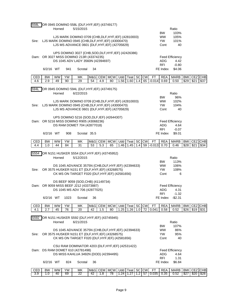| 558L  |           | Horned    |           | OR 0945 DOMINO 558L {DLF, HYF, IEF} (43749177)<br>5/15/2015                                                |    |         |             |      |             |     |                               |                                                   | Ratio                  |            |            |         |
|-------|-----------|-----------|-----------|------------------------------------------------------------------------------------------------------------|----|---------|-------------|------|-------------|-----|-------------------------------|---------------------------------------------------|------------------------|------------|------------|---------|
|       |           |           |           |                                                                                                            |    |         |             |      |             |     |                               | <b>BW</b>                                         | 103%                   |            |            |         |
|       |           |           |           | LJS MARK DOMINO 0709 {CHB, DLF, HYF, IEF} (42810003)                                                       |    |         |             |      |             |     |                               | <b>WW</b><br><b>YW</b>                            | 105%<br>101%           |            |            |         |
| Sire: |           |           |           | LJS MARK DOMINO 0945 {CHB, DLF, HYF, IEF} (43000470)<br>LJS MS ADVANCE 0601 {DLF, HYF, IEF} (42705829)     |    |         |             |      |             |     |                               | Cont                                              | 40                     |            |            |         |
|       |           |           |           | UPS DOMINO 3027 {CHB, SOD, DLF, HYF, IEF} (42426386)                                                       |    |         |             |      |             |     |                               |                                                   |                        |            |            |         |
|       |           |           |           | Dam: OR 3027 MISS DOMINO 213R (43374235)                                                                   |    |         |             |      |             |     |                               |                                                   | <b>Feed Efficiency</b> |            |            |         |
|       |           |           |           | DS 1045 ADV LADY 3560N (42394697)                                                                          |    |         |             |      |             |     |                               | <b>ADG</b>                                        | 4.42                   |            |            |         |
|       | 6/2/16 WT |           | 941       | Scrotal                                                                                                    | 34 |         |             |      |             |     |                               | <b>RFI</b><br>FE Index                            | $-0.80$<br>\$4.06      |            |            |         |
| CED   | <b>BW</b> | <b>WW</b> | <b>YW</b> | MK                                                                                                         |    | M&G CEM | <b>MCW</b>  | Udd  | Teat        | SC  | <b>CW</b><br><b>FT</b>        | <b>REA</b>                                        | <b>MARB</b>            | BMI        |            | CEZ CHB |
| 4.6   | 2.9       | 49        | 90        | 29                                                                                                         | 54 | 4.9     | 80          | 1.56 | 1.60        | 1.4 | 65<br>$-0.014$                | 0.69                                              | 0.50                   | \$29       | \$21       | \$37    |
| 594L  |           |           |           | OR 0945 DOMINO 594L {DLF, HYF, IEF} (43749175)                                                             |    |         |             |      |             |     |                               |                                                   |                        |            |            |         |
|       |           | Horned    |           | 6/22/2015                                                                                                  |    |         |             |      |             |     |                               |                                                   | Ratio                  |            |            |         |
|       |           |           |           | LJS MARK DOMINO 0709 {CHB, DLF, HYF, IEF} (42810003)                                                       |    |         |             |      |             |     |                               | <b>BW</b><br><b>WW</b>                            | 96%<br>102%            |            |            |         |
| Sire: |           |           |           | LJS MARK DOMINO 0945 {CHB, DLF, HYF, IEF} (43000470)                                                       |    |         |             |      |             |     |                               | <b>YW</b>                                         | 104%                   |            |            |         |
|       |           |           |           | LJS MS ADVANCE 0601 {DLF, HYF, IEF} (42705829)                                                             |    |         |             |      |             |     |                               | Cont                                              | 40                     |            |            |         |
|       |           |           |           | UPS DOMINO 5216 {SOD, DLF, IEF} (42644307)                                                                 |    |         |             |      |             |     |                               |                                                   |                        |            |            |         |
|       |           |           |           | Dam: OR 5216 MISS DOMINO R905 (43068236)                                                                   |    |         |             |      |             |     |                               |                                                   | <b>Feed Efficiency</b> |            |            |         |
|       |           |           |           | DS RAM DOMET 704 (42877018)                                                                                |    |         |             |      |             |     |                               | ADG<br><b>RFI</b>                                 | 4.64<br>$-0.07$        |            |            |         |
|       | 6/2/16 WT |           | 908       | Scrotal 35.5                                                                                               |    |         |             |      |             |     |                               | FE Index                                          | \$9.01                 |            |            |         |
| CED   | <b>BW</b> | <b>WW</b> | YW        | MΚ                                                                                                         |    |         | M&G CEM MCW |      | Udd Teat SC |     | <b>CM</b><br>FT               | REA                                               | <b>MARB</b>            | <b>BMI</b> |            | CEZ CHB |
| 4.4   | 1.0       | 44        | 84        | 31                                                                                                         | 53 | 5.3     | 65          | 1.46 | 1.45        | 1.4 | 59<br>$-0.013$                | 0.70                                              | 0.46                   | \$28       | \$21       | \$34    |
| S554  |           |           |           | OR N151 HUSKER S554 {DLF, HYF, IEF} (43745952)                                                             |    |         |             |      |             |     |                               |                                                   |                        |            |            |         |
|       |           | Horned    |           | 5/12/2015                                                                                                  |    |         |             |      |             |     |                               |                                                   | Ratio                  |            |            |         |
|       |           |           |           |                                                                                                            |    |         |             |      |             |     |                               | <b>BW</b><br><b>WW</b>                            | 113%<br>106%           |            |            |         |
| Sire: |           |           |           | DS 1045 ADVANCE 3575N {CHB, DLF, HYF, IEF} (42394633)<br>OR 3575 HUSKER N151 ET {DLF, HYF, IEF} (43268575) |    |         |             |      |             |     |                               | YW.                                               | 108%                   |            |            |         |
|       |           |           |           | CK MS ON TARGET F020 {DLF, HYF, IEF} (42581656)                                                            |    |         |             |      |             |     |                               | Cont                                              | 6                      |            |            |         |
|       |           |           |           | DS BEEF 9059 {SOD, CHB} (41149734)                                                                         |    |         |             |      |             |     |                               |                                                   |                        |            |            |         |
|       |           |           |           | Dam: OR 9059 MISS BEEF J212 (43373887)                                                                     |    |         |             |      |             |     |                               |                                                   | <b>Feed Efficiency</b> |            |            |         |
|       |           |           |           | DS 1045 MS ADV 706 (42877025)                                                                              |    |         |             |      |             |     |                               | RFI                                               | ADG 4.31<br>$-1.32$    |            |            |         |
|       | 6/2/16 WT |           | 1023      | Scrotal                                                                                                    | 36 |         |             |      |             |     |                               | FE Index                                          | $-$ \$2.31             |            |            |         |
| CED   | <b>BW</b> | <b>WW</b> | YW        | MΚ                                                                                                         |    |         | M&G CEM MCW |      | Udd Teat SC |     | ${\sf\small CW}$<br><b>FT</b> | <b>REA</b>                                        | <b>MARB</b>            | <b>BMI</b> |            | CEZ CHB |
| 4.1   | 2.7       | 45        | 76        | 20                                                                                                         | 42 | 1.5     | 80          |      | 1.25 1.26   | 1.0 | 72 0.041                      | 0.58                                              | 0.52                   | \$26       | $$19$ \$31 |         |
| S592  |           |           |           | OR N151 HUSKER S592 {DLF, HYF, IEF} (43745945)                                                             |    |         |             |      |             |     |                               |                                                   |                        |            |            |         |
|       |           | Horned    |           | 6/21/2015                                                                                                  |    |         |             |      |             |     |                               |                                                   | Ratio                  |            |            |         |
|       |           |           |           | DS 1045 ADVANCE 3575N {CHB, DLF, HYF, IEF} (42394633)                                                      |    |         |             |      |             |     |                               | <b>BW</b><br><b>WW</b>                            | 107%<br>86%            |            |            |         |
| Sire: |           |           |           | OR 3575 HUSKER N151 ET {DLF, HYF, IEF} (43268575)                                                          |    |         |             |      |             |     |                               | <b>YW</b>                                         | 95%                    |            |            |         |
|       |           |           |           | CK MS ON TARGET F020 {DLF, HYF, IEF} (42581656)                                                            |    |         |             |      |             |     |                               | Cont                                              | 40                     |            |            |         |
|       |           |           |           | CSU RAM DOMINATOR 4203 {DLF, HYF, IEF} (42531422)                                                          |    |         |             |      |             |     |                               |                                                   |                        |            |            |         |
|       |           |           |           | Dam: DS RAM DOMET 610 (42781498)                                                                           |    |         |             |      |             |     |                               |                                                   | <b>Feed Efficiency</b> |            |            |         |
|       |           |           |           | DS MISS KAHLUA 3492N {DOD} (42394495)                                                                      |    |         |             |      |             |     |                               | ADG<br><b>RFI</b>                                 | 4.64<br>1.31           |            |            |         |
|       | 6/2/16 WT |           | 824       | Scrotal                                                                                                    | 36 |         |             |      |             |     |                               | FE Index                                          | \$6.84                 |            |            |         |
| CED   | BW        | WW YW     |           | МK                                                                                                         |    |         |             |      |             |     |                               | M&G CEM MCW Udd Teat SC CW FT REA MARB BMICEZ CHB |                        |            |            |         |

3.9 1.0 40 69 22 42 1.8 78 1.24 1.27 1.2 57 0.035 0.35 0.52 \$27 \$20 \$28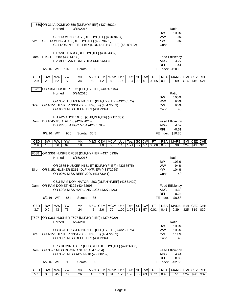|       |                             | Horned    |           | 550 OR 314A DOMINO 550 {DLF, HYF, IEF} (43745932)<br>3/15/2015                                      |     |     |                        |      |                |       |           |           |                        | Ratio                  |            |      |            |
|-------|-----------------------------|-----------|-----------|-----------------------------------------------------------------------------------------------------|-----|-----|------------------------|------|----------------|-------|-----------|-----------|------------------------|------------------------|------------|------|------------|
|       |                             |           |           |                                                                                                     |     |     |                        |      |                |       |           |           | <b>BW</b>              | 100%                   |            |      |            |
|       |                             |           |           | CL 1 DOMINO 105Y {DLF, HYF, IEF} (43189434)                                                         |     |     |                        |      |                |       |           |           | <b>WW</b><br><b>YW</b> | 0%<br>0%               |            |      |            |
| Sire: |                             |           |           | CL 1 DOMINO 314A {DLF, HYF, IEF} (43379692)<br>CL1 DOMINETTE 1116Y {DOD, DLF, HYF, IEF} (43189422)  |     |     |                        |      |                |       |           |           | Cont                   | 0                      |            |      |            |
|       |                             |           |           |                                                                                                     |     |     |                        |      |                |       |           |           |                        |                        |            |      |            |
|       | Dam: B KATE 368A (43514788) |           |           | B RANCHER 33 {DLF, HYF, IEF} (43154387)                                                             |     |     |                        |      |                |       |           |           |                        | <b>Feed Efficiency</b> |            |      |            |
|       |                             |           |           | B AMERICAN HONEY 15X (43154333)                                                                     |     |     |                        |      |                |       |           |           | ADG                    | 4.27                   |            |      |            |
|       |                             |           |           |                                                                                                     |     |     |                        |      |                |       |           |           | <b>RFI</b>             | 1.41                   |            |      |            |
|       | 6/2/16 WT                   |           | 1023      | Scrotal                                                                                             | 36  |     |                        |      |                |       |           |           |                        | FE Index -\$20.10      |            |      |            |
| CED   | <b>BW</b>                   | <b>WW</b> | <b>YW</b> | МK                                                                                                  | M&G |     | CEM MCW                | Udd  | Teat           | SC CW |           | <b>FT</b> | <b>REA</b>             | <b>MARB</b>            | <b>BMI</b> |      | CEZ CHB    |
| 2.9   | 2.3                         | 52        | 77        | $\overline{34}$                                                                                     | 60  | 1.2 | 80                     | 1.03 | 1.04           | 0.8   | 61        | 0.055     | 0.12                   | 0.09                   | \$14       | \$16 | \$21       |
| F572  |                             |           |           | OR S361 HUSKER F572 {DLF, HYF, IEF} (43745934)                                                      |     |     |                        |      |                |       |           |           |                        |                        |            |      |            |
|       |                             | Horned    |           | 5/24/2015                                                                                           |     |     |                        |      | Ratio          |       |           |           |                        |                        |            |      |            |
|       |                             |           |           |                                                                                                     |     |     |                        |      |                |       |           |           | <b>BW</b>              | 100%                   |            |      |            |
| Sire: |                             |           |           | OR 3575 HUSKER N151 ET {DLF, HYF, IEF} (43268575)<br>OR N151 HUSKER S361 {DLF, HYF, IEF} (43472959) |     |     |                        |      |                |       |           |           | <b>WW</b><br><b>YW</b> | 90%<br>96%             |            |      |            |
|       |                             |           |           | OR 9059 MISS BEEF J009 (43173341)                                                                   |     |     |                        |      |                |       |           |           | Cont                   | 40                     |            |      |            |
|       |                             |           |           |                                                                                                     |     |     |                        |      |                |       |           |           |                        |                        |            |      |            |
|       |                             |           |           | HH ADVANCE 1045L {CHB, DLF, IEF} (42151369)<br>Dam: DS 1045 MS ADV 706 (42877025)                   |     |     |                        |      |                |       |           |           |                        | <b>Feed Efficiency</b> |            |      |            |
|       |                             |           |           | DS MISS LATIGO 5784 (42665780)                                                                      |     |     |                        |      |                |       |           |           | <b>ADG</b>             | 4.59                   |            |      |            |
|       |                             |           |           |                                                                                                     |     |     |                        |      |                |       |           |           | RFI                    | $-0.61$                |            |      |            |
|       | 6/2/16 WT                   |           | 906       | Scrotal 35.5                                                                                        |     |     |                        |      |                |       |           |           |                        | FE Index \$10.35       |            |      |            |
| CED   | <b>BW</b>                   | <b>WW</b> | YW        | MΚ                                                                                                  | M&G |     | CEM MCW Udd Teat SC CW |      |                |       |           | <b>FT</b> | REA                    | <b>MARB</b>            | <b>BMI</b> |      | CEZ CHB    |
| 2.9   | 1.0                         | 36        | 62        | 18                                                                                                  | 36  | 1.0 | 55                     | 1.18 | 1.21           | 0.9   | 57        | 0.006     | 0.53                   | 0.38                   | \$24       | \$19 | \$25       |
| F588  |                             |           |           | OR S361 HUSKER F588 {DLF, HYF, IEF} (43745938)                                                      |     |     |                        |      |                |       |           |           |                        |                        |            |      |            |
|       |                             | Horned    |           | 6/15/2015                                                                                           |     |     |                        |      |                |       |           |           |                        | Ratio                  |            |      |            |
|       |                             |           |           |                                                                                                     |     |     |                        |      |                |       |           |           | <b>BW</b>              | 103%                   |            |      |            |
| Sire: |                             |           |           | OR 3575 HUSKER N151 ET {DLF, HYF, IEF} (43268575)<br>OR N151 HUSKER S361 {DLF, HYF, IEF} (43472959) |     |     |                        |      |                |       |           |           | <b>WW</b><br>YW.       | 94%<br>104%            |            |      |            |
|       |                             |           |           | OR 9059 MISS BEEF J009 (43173341)                                                                   |     |     |                        |      |                |       |           |           | Cont                   | 40                     |            |      |            |
|       |                             |           |           |                                                                                                     |     |     |                        |      |                |       |           |           |                        |                        |            |      |            |
|       |                             |           |           | CSU RAM DOMINATOR 4203 {DLF, HYF, IEF} (42531422)<br>Dam: OR RAM DOMET H302 (43472998)              |     |     |                        |      |                |       |           |           |                        | <b>Feed Efficiency</b> |            |      |            |
|       |                             |           |           | OR L008 MISS HARLAND 102Z (43274126)                                                                |     |     |                        |      |                |       |           |           |                        | ADG 4.39               |            |      |            |
|       |                             |           |           |                                                                                                     |     |     |                        |      |                |       |           |           | RFI                    | $-0.24$                |            |      |            |
|       | 6/2/16 WT                   |           | 864       | Scrotal                                                                                             | 35  |     |                        |      |                |       |           |           | FE Index               | \$6.58                 |            |      |            |
| CED   | <b>BW</b>                   | <b>WW</b> | YW        | MΚ                                                                                                  | M&G |     | CEM MCW                |      | Udd Teat SC CW |       |           | <b>FT</b> | <b>REA</b>             | <b>MARB</b>            | <b>BMI</b> |      | CEZ CHB    |
| 3.7   | 0.9                         | 43        | 75        | 24                                                                                                  | 45  | 2.6 | 72                     |      | 1.09 1.07      | 1.1   | 57        | $-0.014$  | 0.41                   | 0.39                   | \$25       |      | $$19$ \$30 |
| F597  |                             |           |           | OR S361 HUSKER F597 {DLF, HYF, IEF} (43745929)                                                      |     |     |                        |      |                |       |           |           |                        |                        |            |      |            |
|       |                             | Horned    |           | 6/24/2015                                                                                           |     |     |                        |      |                |       |           |           |                        | Ratio                  |            |      |            |
|       |                             |           |           |                                                                                                     |     |     |                        |      |                |       |           |           | <b>BW</b>              | 100%                   |            |      |            |
| Sire: |                             |           |           | OR 3575 HUSKER N151 ET {DLF, HYF, IEF} (43268575)<br>OR N151 HUSKER S361 {DLF, HYF, IEF} (43472959) |     |     |                        |      |                |       |           |           | <b>WW</b><br>YW.       | 106%<br>111%           |            |      |            |
|       |                             |           |           | OR 9059 MISS BEEF J009 (43173341)                                                                   |     |     |                        |      |                |       |           |           | Cont                   | 40                     |            |      |            |
|       |                             |           |           |                                                                                                     |     |     |                        |      |                |       |           |           |                        |                        |            |      |            |
|       |                             |           |           | UPS DOMINO 3027 {CHB, SOD, DLF, HYF, IEF} (42426386)<br>Dam: OR 3027 MISS DOMINO 316R (43473254)    |     |     |                        |      |                |       |           |           |                        | <b>Feed Efficiency</b> |            |      |            |
|       |                             |           |           | OR 3575 MISS ADV N910 (43068257)                                                                    |     |     |                        |      |                |       |           |           | ADG                    | 4.44                   |            |      |            |
|       |                             |           |           |                                                                                                     |     |     |                        |      |                |       |           |           | <b>RFI</b>             | 0.88                   |            |      |            |
|       | 6/2/16 WT                   |           | 903       | Scrotal                                                                                             | 35  |     |                        |      |                |       |           |           |                        | FE Index -\$2.56       |            |      |            |
| CED   | <b>BW</b>                   | WW        | YW        | МK                                                                                                  | M&G |     | CEM   MCW   Udd   Teat |      |                |       | $SC$ $CW$ | <b>FT</b> | REA                    | MARB BMI               |            |      | CEZ CHB    |

5.1 0.6 45 78 26 48 3.3 81 1.23 1.28 0.9 63 0.021 0.48 0.51 \$24 \$20 \$32